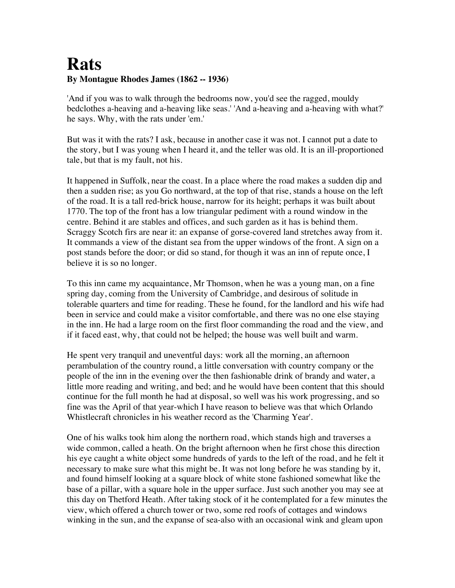## **Rats By Montague Rhodes James (1862 -- 1936)**

'And if you was to walk through the bedrooms now, you'd see the ragged, mouldy bedclothes a-heaving and a-heaving like seas.' 'And a-heaving and a-heaving with what?' he says. Why, with the rats under 'em.'

But was it with the rats? I ask, because in another case it was not. I cannot put a date to the story, but I was young when I heard it, and the teller was old. It is an ill-proportioned tale, but that is my fault, not his.

It happened in Suffolk, near the coast. In a place where the road makes a sudden dip and then a sudden rise; as you Go northward, at the top of that rise, stands a house on the left of the road. It is a tall red-brick house, narrow for its height; perhaps it was built about 1770. The top of the front has a low triangular pediment with a round window in the centre. Behind it are stables and offices, and such garden as it has is behind them. Scraggy Scotch firs are near it: an expanse of gorse-covered land stretches away from it. It commands a view of the distant sea from the upper windows of the front. A sign on a post stands before the door; or did so stand, for though it was an inn of repute once, I believe it is so no longer.

To this inn came my acquaintance, Mr Thomson, when he was a young man, on a fine spring day, coming from the University of Cambridge, and desirous of solitude in tolerable quarters and time for reading. These he found, for the landlord and his wife had been in service and could make a visitor comfortable, and there was no one else staying in the inn. He had a large room on the first floor commanding the road and the view, and if it faced east, why, that could not be helped; the house was well built and warm.

He spent very tranquil and uneventful days: work all the morning, an afternoon perambulation of the country round, a little conversation with country company or the people of the inn in the evening over the then fashionable drink of brandy and water, a little more reading and writing, and bed; and he would have been content that this should continue for the full month he had at disposal, so well was his work progressing, and so fine was the April of that year-which I have reason to believe was that which Orlando Whistlecraft chronicles in his weather record as the 'Charming Year'.

One of his walks took him along the northern road, which stands high and traverses a wide common, called a heath. On the bright afternoon when he first chose this direction his eye caught a white object some hundreds of yards to the left of the road, and he felt it necessary to make sure what this might be. It was not long before he was standing by it, and found himself looking at a square block of white stone fashioned somewhat like the base of a pillar, with a square hole in the upper surface. Just such another you may see at this day on Thetford Heath. After taking stock of it he contemplated for a few minutes the view, which offered a church tower or two, some red roofs of cottages and windows winking in the sun, and the expanse of sea-also with an occasional wink and gleam upon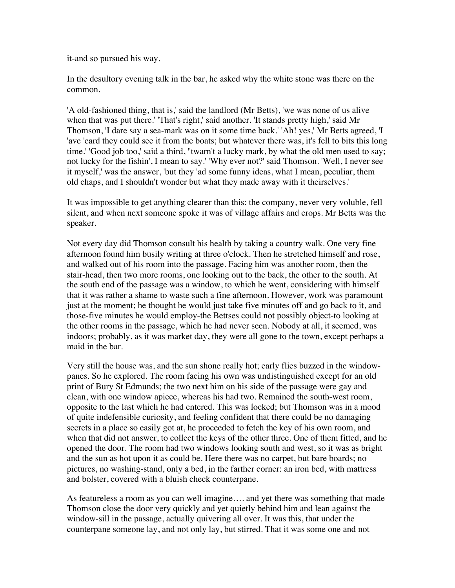it-and so pursued his way.

In the desultory evening talk in the bar, he asked why the white stone was there on the common.

'A old-fashioned thing, that is,' said the landlord (Mr Betts), 'we was none of us alive when that was put there.' 'That's right,' said another. 'It stands pretty high,' said Mr Thomson, 'I dare say a sea-mark was on it some time back.' 'Ah! yes,' Mr Betts agreed, 'I 'ave 'eard they could see it from the boats; but whatever there was, it's fell to bits this long time.' 'Good job too,' said a third, ''twarn't a lucky mark, by what the old men used to say; not lucky for the fishin', I mean to say.' 'Why ever not?' said Thomson. 'Well, I never see it myself,' was the answer, 'but they 'ad some funny ideas, what I mean, peculiar, them old chaps, and I shouldn't wonder but what they made away with it theirselves.'

It was impossible to get anything clearer than this: the company, never very voluble, fell silent, and when next someone spoke it was of village affairs and crops. Mr Betts was the speaker.

Not every day did Thomson consult his health by taking a country walk. One very fine afternoon found him busily writing at three o'clock. Then he stretched himself and rose, and walked out of his room into the passage. Facing him was another room, then the stair-head, then two more rooms, one looking out to the back, the other to the south. At the south end of the passage was a window, to which he went, considering with himself that it was rather a shame to waste such a fine afternoon. However, work was paramount just at the moment; he thought he would just take five minutes off and go back to it, and those-five minutes he would employ-the Bettses could not possibly object-to looking at the other rooms in the passage, which he had never seen. Nobody at all, it seemed, was indoors; probably, as it was market day, they were all gone to the town, except perhaps a maid in the bar.

Very still the house was, and the sun shone really hot; early flies buzzed in the windowpanes. So he explored. The room facing his own was undistinguished except for an old print of Bury St Edmunds; the two next him on his side of the passage were gay and clean, with one window apiece, whereas his had two. Remained the south-west room, opposite to the last which he had entered. This was locked; but Thomson was in a mood of quite indefensible curiosity, and feeling confident that there could be no damaging secrets in a place so easily got at, he proceeded to fetch the key of his own room, and when that did not answer, to collect the keys of the other three. One of them fitted, and he opened the door. The room had two windows looking south and west, so it was as bright and the sun as hot upon it as could be. Here there was no carpet, but bare boards; no pictures, no washing-stand, only a bed, in the farther corner: an iron bed, with mattress and bolster, covered with a bluish check counterpane.

As featureless a room as you can well imagine…. and yet there was something that made Thomson close the door very quickly and yet quietly behind him and lean against the window-sill in the passage, actually quivering all over. It was this, that under the counterpane someone lay, and not only lay, but stirred. That it was some one and not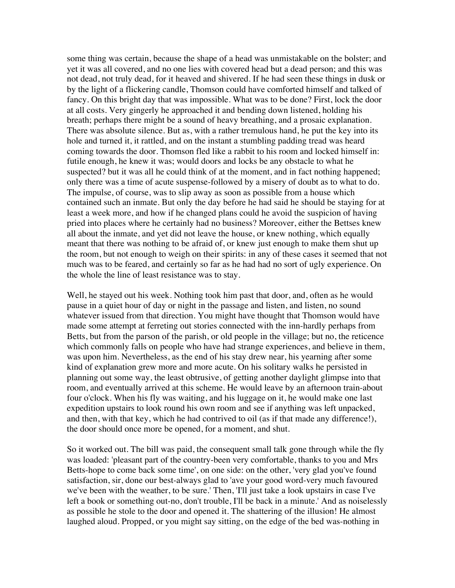some thing was certain, because the shape of a head was unmistakable on the bolster; and yet it was all covered, and no one lies with covered head but a dead person; and this was not dead, not truly dead, for it heaved and shivered. If he had seen these things in dusk or by the light of a flickering candle, Thomson could have comforted himself and talked of fancy. On this bright day that was impossible. What was to be done? First, lock the door at all costs. Very gingerly he approached it and bending down listened, holding his breath; perhaps there might be a sound of heavy breathing, and a prosaic explanation. There was absolute silence. But as, with a rather tremulous hand, he put the key into its hole and turned it, it rattled, and on the instant a stumbling padding tread was heard coming towards the door. Thomson fled like a rabbit to his room and locked himself in: futile enough, he knew it was; would doors and locks be any obstacle to what he suspected? but it was all he could think of at the moment, and in fact nothing happened; only there was a time of acute suspense-followed by a misery of doubt as to what to do. The impulse, of course, was to slip away as soon as possible from a house which contained such an inmate. But only the day before he had said he should be staying for at least a week more, and how if he changed plans could he avoid the suspicion of having pried into places where he certainly had no business? Moreover, either the Bettses knew all about the inmate, and yet did not leave the house, or knew nothing, which equally meant that there was nothing to be afraid of, or knew just enough to make them shut up the room, but not enough to weigh on their spirits: in any of these cases it seemed that not much was to be feared, and certainly so far as he had had no sort of ugly experience. On the whole the line of least resistance was to stay.

Well, he stayed out his week. Nothing took him past that door, and, often as he would pause in a quiet hour of day or night in the passage and listen, and listen, no sound whatever issued from that direction. You might have thought that Thomson would have made some attempt at ferreting out stories connected with the inn-hardly perhaps from Betts, but from the parson of the parish, or old people in the village; but no, the reticence which commonly falls on people who have had strange experiences, and believe in them, was upon him. Nevertheless, as the end of his stay drew near, his yearning after some kind of explanation grew more and more acute. On his solitary walks he persisted in planning out some way, the least obtrusive, of getting another daylight glimpse into that room, and eventually arrived at this scheme. He would leave by an afternoon train-about four o'clock. When his fly was waiting, and his luggage on it, he would make one last expedition upstairs to look round his own room and see if anything was left unpacked, and then, with that key, which he had contrived to oil (as if that made any difference!), the door should once more be opened, for a moment, and shut.

So it worked out. The bill was paid, the consequent small talk gone through while the fly was loaded: 'pleasant part of the country-been very comfortable, thanks to you and Mrs Betts-hope to come back some time', on one side: on the other, 'very glad you've found satisfaction, sir, done our best-always glad to 'ave your good word-very much favoured we've been with the weather, to be sure.' Then, 'I'll just take a look upstairs in case I've left a book or something out-no, don't trouble, I'll be back in a minute.' And as noiselessly as possible he stole to the door and opened it. The shattering of the illusion! He almost laughed aloud. Propped, or you might say sitting, on the edge of the bed was-nothing in